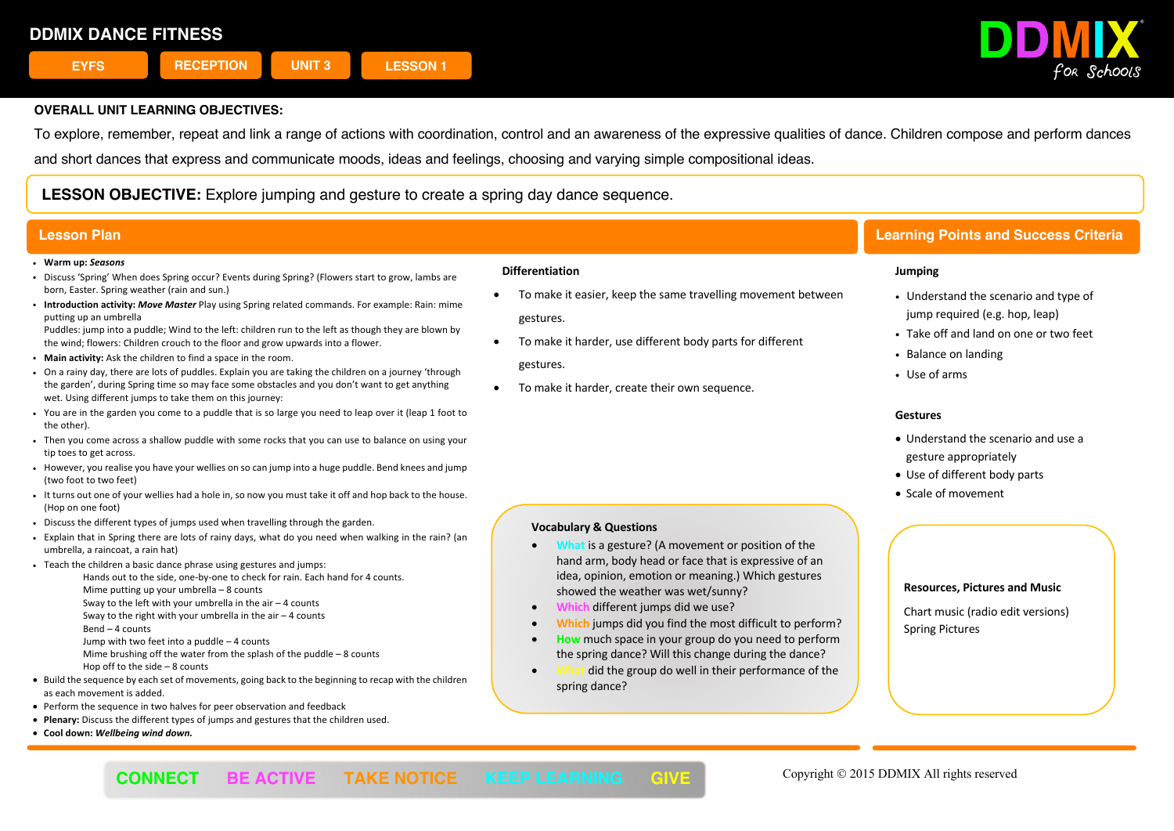

To explore, remember, repeat and link a range of actions with coordination, control and an awareness of the expressive qualities of dance. Children compose and perform dances

and short dances that express and communicate moods, ideas and feelings, choosing and varying simple compositional ideas.

**LESSON OBJECTIVE:** Explore jumping and gesture to create a spring day dance sequence.

#### ! **Warm up:** *Seasons*

- ! Discuss 'Spring' When does Spring occur? Events during Spring? (Flowers start to grow, lambs are born, Easter. Spring weather (rain and sun.)
- ! **Introduction activity:** *Move Master* Play using Spring related commands. For example: Rain: mime putting up an umbrella

Puddles: jump into a puddle; Wind to the left: children run to the left as though they are blown by the wind; flowers: Children crouch to the floor and grow upwards into a flower.

- ! **Main activity:** Ask the children to find a space in the room.
- . On a rainy day, there are lots of puddles. Explain you are taking the children on a journey 'through the garden', during Spring time so may face some obstacles and you don't want to get anything wet. Using different jumps to take them on this journey:
- ! You are in the garden you come to a puddle that is so large you need to leap over it (leap 1 foot to the other).
- . Then you come across a shallow puddle with some rocks that you can use to balance on using your tip toes to get across.
- ! However, you realise you have your wellies on so can jump into a huge puddle. Bend knees and jump (two foot to two feet)
- . It turns out one of your wellies had a hole in, so now you must take it off and hop back to the house. (Hop on one foot)
- . Discuss the different types of jumps used when travelling through the garden.
- ! Explain that in Spring there are lots of rainy days, what do you need when walking in the rain? (an umbrella, a raincoat, a rain hat)
- . Teach the children a basic dance phrase using gestures and jumps:
	- Hands out to the side, one-by-one to check for rain. Each hand for 4 counts. Mime putting up your umbrella – 8 counts Sway to the left with your umbrella in the air – 4 counts
	- Sway to the right with your umbrella in the air  $-4$  counts
	- Bend 4 counts
	- Jump with two feet into a puddle 4 counts

Mime brushing off the water from the splash of the puddle – 8 counts

- Hop off to the side 8 counts
- Build the sequence by each set of movements, going back to the beginning to recap with the children as each movement is added.
- Perform the sequence in two halves for peer observation and feedback
- **Plenary:** Discuss the different types of jumps and gestures that the children used.
- **Cool down:** *Wellbeing wind down.*

#### **Differentiation**

- To make it easier, keep the same travelling movement between gestures.
- To make it harder, use different body parts for different gestures.
- To make it harder, create their own sequence.

# **Lesson Plan Learning Points and Success Criteria**

### **Jumping**

- Understand the scenario and type of jump required (e.g. hop, leap)
- Take off and land on one or two feet
- Balance on landing
- Use of arms

### **Gestures**

- Understand the scenario and use a gesture appropriately
- Use of different body parts
- Scale of movement

# **Vocabulary & Questions**

- **What** is a gesture? (A movement or position of the hand arm, body head or face that is expressive of an idea, opinion, emotion or meaning.) Which gestures showed the weather was wet/sunny?
- **Which** different jumps did we use?
- **Which** jumps did you find the most difficult to perform?
- **How** much space in your group do you need to perform the spring dance? Will this change during the dance?
- **What** did the group do well in their performance of the spring dance?

#### **Resources, Pictures and Music**

Chart music (radio edit versions) Spring Pictures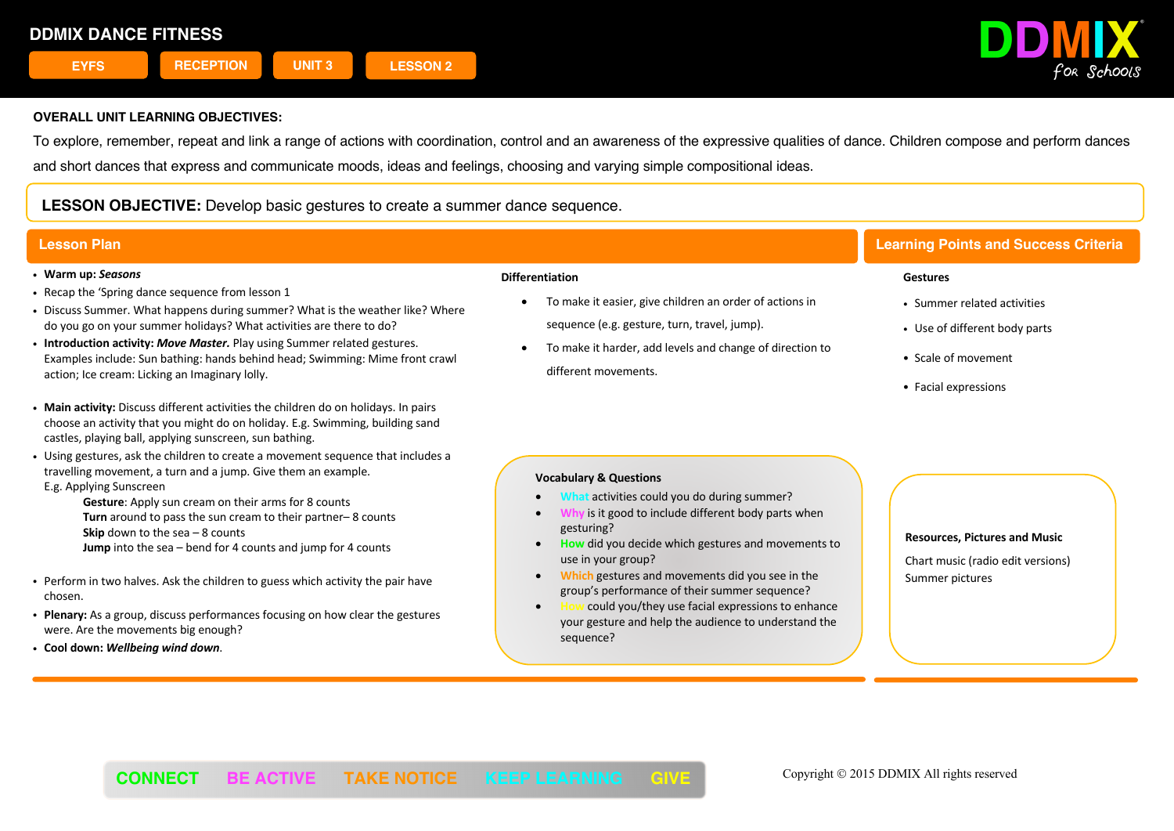

To explore, remember, repeat and link a range of actions with coordination, control and an awareness of the expressive qualities of dance. Children compose and perform dances and short dances that express and communicate moods, ideas and feelings, choosing and varying simple compositional ideas.

# **LESSON OBJECTIVE:** Develop basic gestures to create a summer dance sequence.

- ! **Warm up:** *Seasons*
- . Recap the 'Spring dance sequence from lesson 1
- ! Discuss Summer. What happens during summer? What is the weather like? Where do you go on your summer holidays? What activities are there to do?
- ! **Introduction activity:** *Move Master.* Play using Summer related gestures. Examples include: Sun bathing: hands behind head; Swimming: Mime front crawl action; Ice cream: Licking an Imaginary lolly.
- ! **Main activity:** Discuss different activities the children do on holidays. In pairs choose an activity that you might do on holiday. E.g. Swimming, building sand castles, playing ball, applying sunscreen, sun bathing.
- ! Using gestures, ask the children to create a movement sequence that includes a travelling movement, a turn and a jump. Give them an example.
- E.g. Applying Sunscreen
	- **Gesture**: Apply sun cream on their arms for 8 counts **Turn** around to pass the sun cream to their partner– 8 counts **Skip** down to the sea – 8 counts **Jump** into the sea – bend for 4 counts and jump for 4 counts
- ! Perform in two halves. Ask the children to guess which activity the pair have chosen.
- ! **Plenary:** As a group, discuss performances focusing on how clear the gestures were. Are the movements big enough?
- ! **Cool down:** *Wellbeing wind down*.

#### **Differentiation**

- To make it easier, give children an order of actions in sequence (e.g. gesture, turn, travel, jump).
- To make it harder, add levels and change of direction to different movements.

# **Lesson Plan Learning Points and Success Criteria**

#### **Gestures**

- Summer related activities
- Use of different body parts
- ! Scale of movement
- Facial expressions

# **Vocabulary & Questions**

- **What** activities could you do during summer?
- **is it good to include different body parts when** gesturing?
- **How** did you decide which gestures and movements to use in your group?
- **Which** gestures and movements did you see in the group's performance of their summer sequence?
- **How** could you/they use facial expressions to enhance your gesture and help the audience to understand the sequence?

**Resources, Pictures and Music** Chart music (radio edit versions) Summer pictures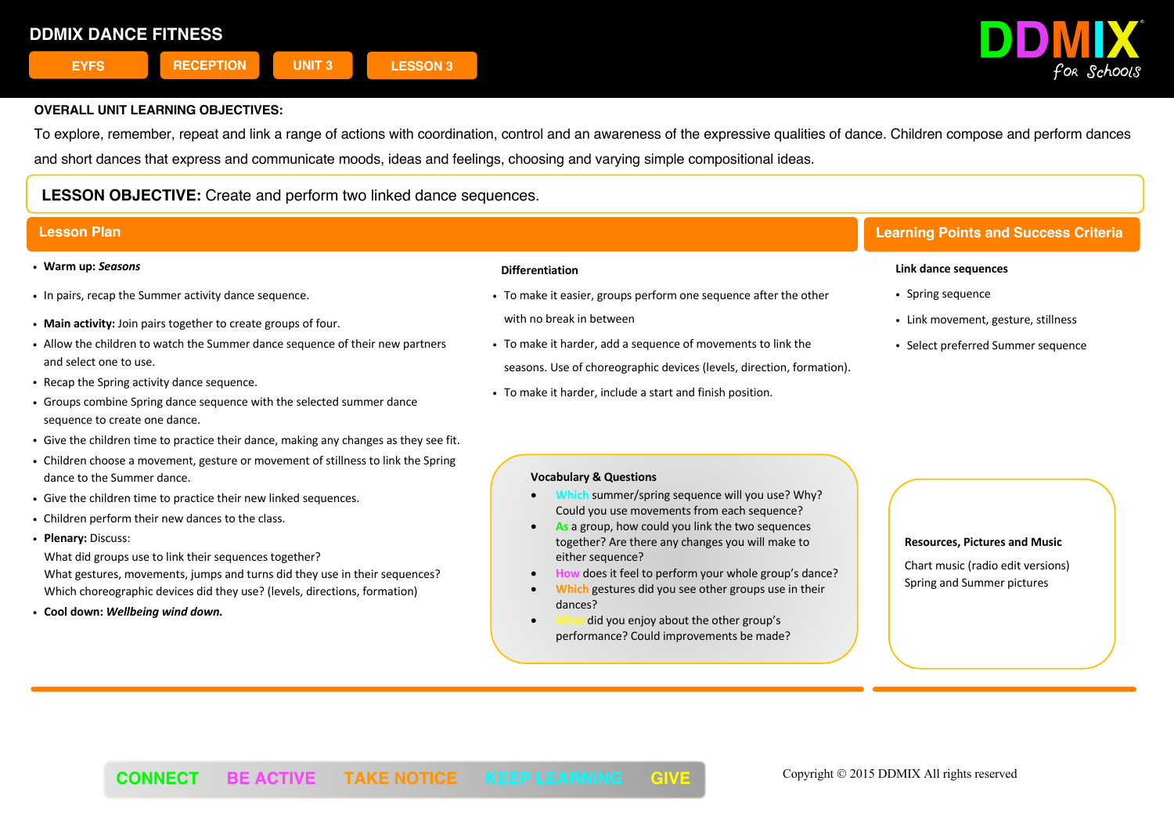

To explore, remember, repeat and link a range of actions with coordination, control and an awareness of the expressive qualities of dance. Children compose and perform dances and short dances that express and communicate moods, ideas and feelings, choosing and varying simple compositional ideas.

# **LESSON OBJECTIVE:** Create and perform two linked dance sequences.

- ! **Warm up:** *Seasons*
- . In pairs, recap the Summer activity dance sequence.
- ! **Main activity:** Join pairs together to create groups of four.
- ! Allow the children to watch the Summer dance sequence of their new partners and select one to use.
- . Recap the Spring activity dance sequence.
- ! Groups combine Spring dance sequence with the selected summer dance sequence to create one dance.
- ! Give the children time to practice their dance, making any changes as they see fit.
- ! Children choose a movement, gesture or movement of stillness to link the Spring dance to the Summer dance.
- Give the children time to practice their new linked sequences.
- . Children perform their new dances to the class.
- ! **Plenary:** Discuss:

What did groups use to link their sequences together? What gestures, movements, jumps and turns did they use in their sequences? Which choreographic devices did they use? (levels, directions, formation)

! **Cool down:** *Wellbeing wind down.*

# **Differentiation**

- ! To make it easier, groups perform one sequence after the other with no break in between
- ! To make it harder, add a sequence of movements to link the seasons. Use of choreographic devices (levels, direction, formation).
- ! To make it harder, include a start and finish position.

# **Lesson Plan Learning Points and Success Criteria**

#### **Link dance sequences**

- Spring sequence
- Link movement, gesture, stillness
- Select preferred Summer sequence

#### **Vocabulary & Questions**

- **Which** summer/spring sequence will you use? Why? Could you use movements from each sequence?
- As a group, how could you link the two sequences together? Are there any changes you will make to either sequence?
- does it feel to perform your whole group's dance?
- **Which** gestures did you see other groups use in their dances?
- did you enjoy about the other group's performance? Could improvements be made?

#### **Resources, Pictures and Music**

Chart music (radio edit versions) Spring and Summer pictures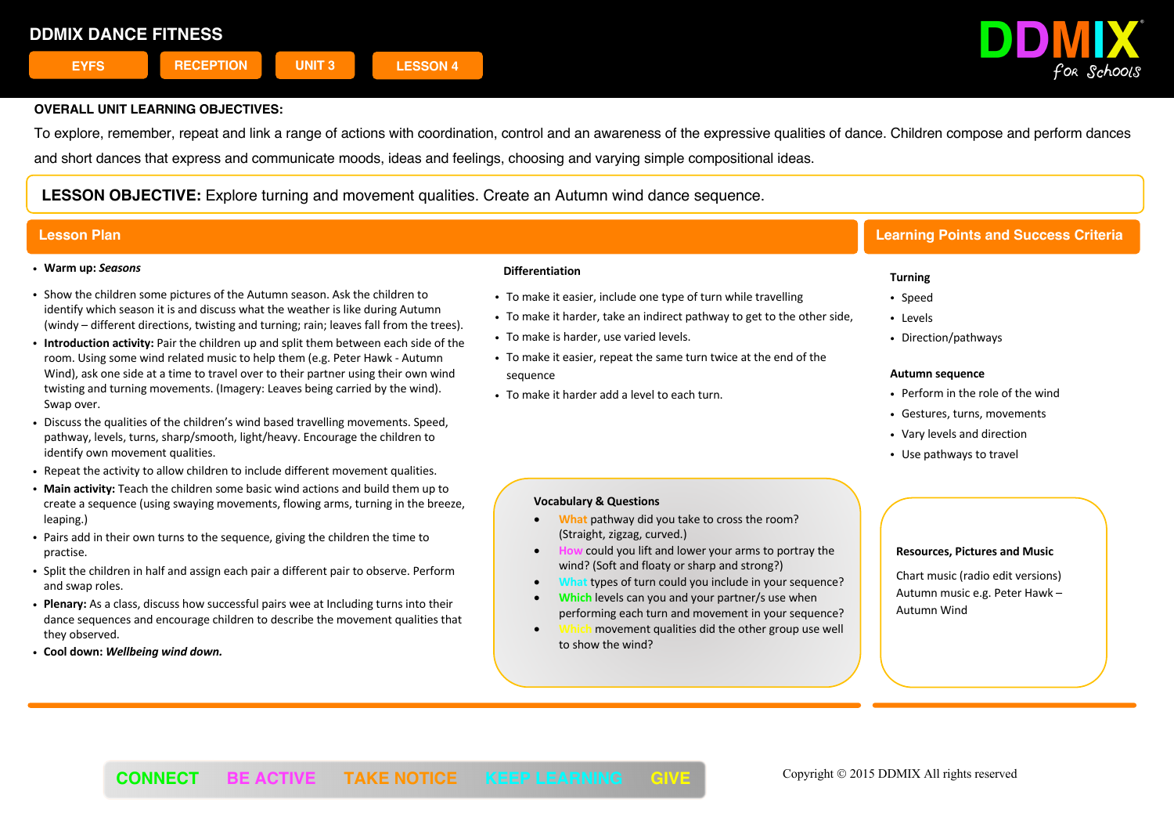

To explore, remember, repeat and link a range of actions with coordination, control and an awareness of the expressive qualities of dance. Children compose and perform dances and short dances that express and communicate moods, ideas and feelings, choosing and varying simple compositional ideas.

**LESSON OBJECTIVE:** Explore turning and movement qualities. Create an Autumn wind dance sequence.

### ! **Warm up:** *Seasons*

- ! Show the children some pictures of the Autumn season. Ask the children to identify which season it is and discuss what the weather is like during Autumn (windy – different directions, twisting and turning; rain; leaves fall from the trees).
- ! **Introduction activity:** Pair the children up and split them between each side of the room. Using some wind related music to help them (e.g. Peter Hawk - Autumn Wind), ask one side at a time to travel over to their partner using their own wind twisting and turning movements. (Imagery: Leaves being carried by the wind). Swap over.
- ! Discuss the qualities of the children's wind based travelling movements. Speed, pathway, levels, turns, sharp/smooth, light/heavy. Encourage the children to identify own movement qualities.
- . Repeat the activity to allow children to include different movement qualities.
- ! **Main activity:** Teach the children some basic wind actions and build them up to create a sequence (using swaying movements, flowing arms, turning in the breeze, leaping.)
- ! Pairs add in their own turns to the sequence, giving the children the time to practise.
- ! Split the children in half and assign each pair a different pair to observe. Perform and swap roles.
- ! **Plenary:** As a class, discuss how successful pairs wee at Including turns into their dance sequences and encourage children to describe the movement qualities that they observed.
- ! **Cool down:** *Wellbeing wind down.*

#### **Differentiation**

- . To make it easier, include one type of turn while travelling
- . To make it harder, take an indirect pathway to get to the other side,
- . To make is harder, use varied levels.
- ! To make it easier, repeat the same turn twice at the end of the sequence
- To make it harder add a level to each turn.

# **Lesson Plan Learning Points and Success Criteria**

### **Turning**

- Speed
- Levels
- Direction/pathways

#### **Autumn sequence**

- Perform in the role of the wind
- Gestures, turns, movements
- Vary levels and direction
- Use pathways to travel

### **Vocabulary & Questions**

- **What** pathway did you take to cross the room? (Straight, zigzag, curved.)
- **How** could you lift and lower your arms to portray the wind? (Soft and floaty or sharp and strong?)
- **What** types of turn could you include in your sequence?
- **Which** levels can you and your partner/s use when performing each turn and movement in your sequence?
- **Which** movement qualities did the other group use well to show the wind?

#### **Resources, Pictures and Music**

Chart music (radio edit versions) Autumn music e.g. Peter Hawk – Autumn Wind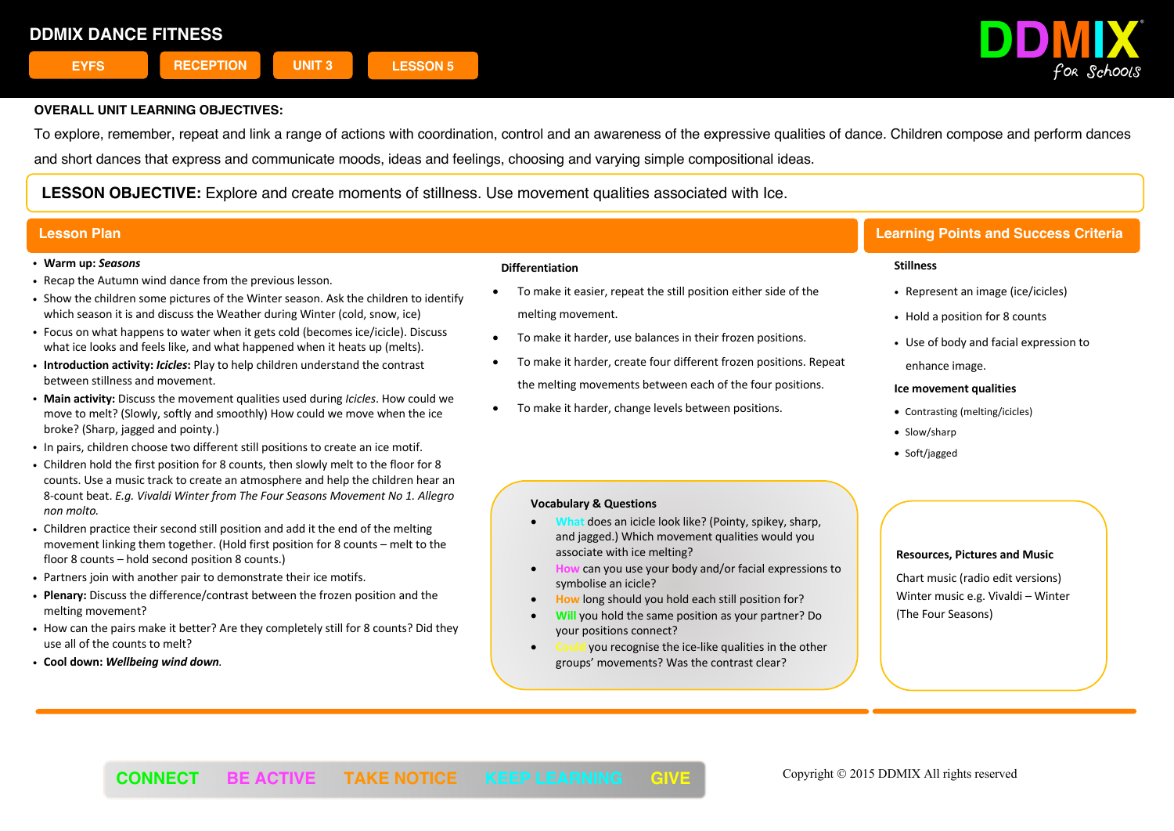

To explore, remember, repeat and link a range of actions with coordination, control and an awareness of the expressive qualities of dance. Children compose and perform dances and short dances that express and communicate moods, ideas and feelings, choosing and varying simple compositional ideas.

**LESSON OBJECTIVE:** Explore and create moments of stillness. Use movement qualities associated with Ice.

#### ! **Warm up:** *Seasons*

- . Recap the Autumn wind dance from the previous lesson.
- ! Show the children some pictures of the Winter season. Ask the children to identify which season it is and discuss the Weather during Winter (cold, snow, ice)
- ! Focus on what happens to water when it gets cold (becomes ice/icicle). Discuss what ice looks and feels like, and what happened when it heats up (melts).
- ! **Introduction activity:** *Icicles***:** Play to help children understand the contrast between stillness and movement.
- ! **Main activity:** Discuss the movement qualities used during *Icicles*. How could we move to melt? (Slowly, softly and smoothly) How could we move when the ice broke? (Sharp, jagged and pointy.)
- ! In pairs, children choose two different still positions to create an ice motif.
- ! Children hold the first position for 8 counts, then slowly melt to the floor for 8 counts. Use a music track to create an atmosphere and help the children hear an 8-count beat. *E.g. Vivaldi Winter from The Four Seasons Movement No 1. Allegro non molto.*
- ! Children practice their second still position and add it the end of the melting movement linking them together. (Hold first position for 8 counts – melt to the floor 8 counts – hold second position 8 counts.)
- ! Partners join with another pair to demonstrate their ice motifs.
- ! **Plenary:** Discuss the difference/contrast between the frozen position and the melting movement?
- ! How can the pairs make it better? Are they completely still for 8 counts? Did they use all of the counts to melt?
- ! **Cool down:** *Wellbeing wind down.*

### **Differentiation**

- To make it easier, repeat the still position either side of the melting movement.
- To make it harder, use balances in their frozen positions.
- To make it harder, create four different frozen positions. Repeat the melting movements between each of the four positions.
- To make it harder, change levels between positions.

### **Vocabulary & Questions**

- **does an icicle look like? (Pointy, spikey, sharp,** and jagged.) Which movement qualities would you associate with ice melting?
- **How** can you use your body and/or facial expressions to symbolise an icicle?
- **How** long should you hold each still position for?
- **Will** you hold the same position as your partner? Do your positions connect?
- **Could** you recognise the ice-like qualities in the other groups' movements? Was the contrast clear?

# **Lesson Plan Learning Points and Success Criteria**

#### **Stillness**

- Represent an image (ice/icicles)
- Hold a position for 8 counts
- . Use of body and facial expression to enhance image.

#### **Ice movement qualities**

- Contrasting (melting/icicles)
- Slow/sharp
- Soft/jagged

#### **Resources, Pictures and Music**

Chart music (radio edit versions) Winter music e.g. Vivaldi – Winter (The Four Seasons)